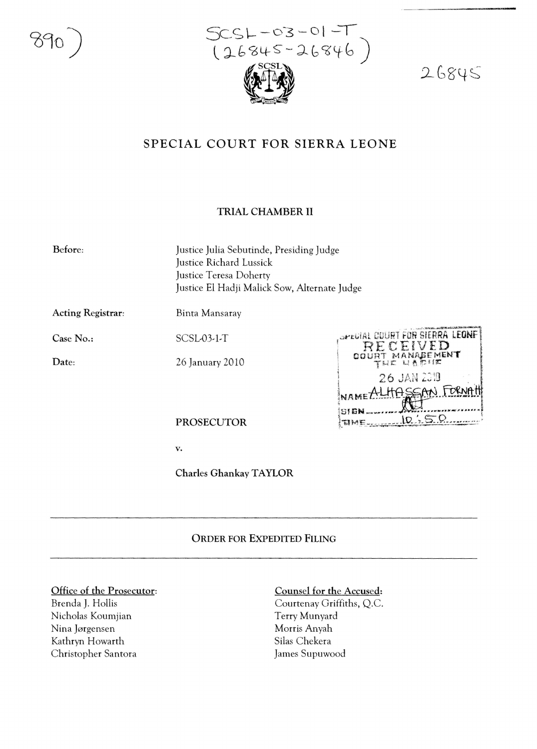

 $26845$ 

# SPECIAL COURT FOR SIERRA LEONE

#### TRIAL CHAMBER II

Before:

Justice Julia Sebutinde, Presiding Judge Justice Richard Lussick Justice Teresa Doherty Justice El Hadji Malick Sow, Alternate Judge

**Acting Registrar:** 

Binta Mansaray

SCSL-03-1-T

Case No.:

Date:

OPECIAL COURT FOR SIERRA LEONF  $\sum$ MENT 26 JAN 2319 LHASSAN FO NAMET  $10.$  : 5. Q TIME

**PROSECUTOR** 

26 January 2010

 $\mathbf{v}$ .

**Charles Ghankay TAYLOR** 

## **ORDER FOR EXPEDITED FILING**

#### Office of the Prosecutor:

Brenda J. Hollis Nicholas Koumjian Nina Jørgensen Kathryn Howarth Christopher Santora

### Counsel for the Accused:

Courtenay Griffiths, Q.C. Terry Munyard Morris Anyah Silas Chekera James Supuwood